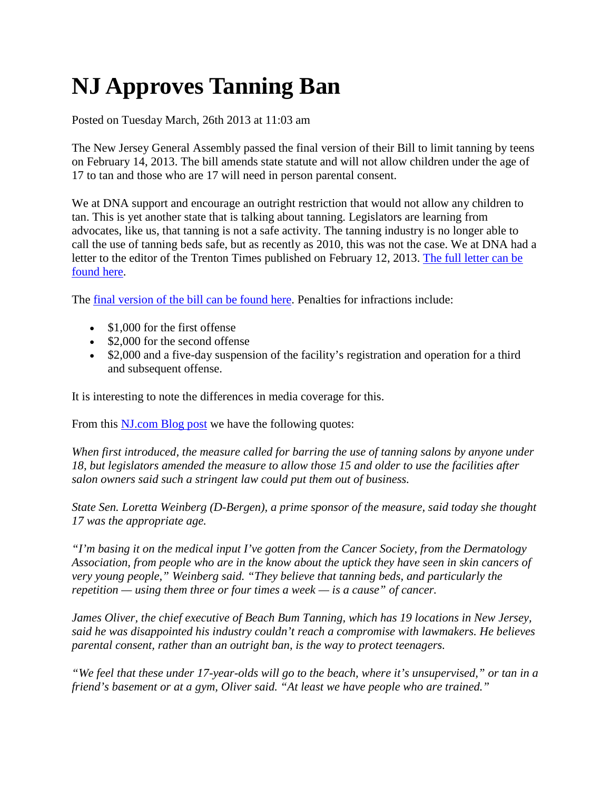## **NJ Approves Tanning Ban**

Posted on Tuesday March, 26th 2013 at 11:03 am

The New Jersey General Assembly passed the final version of their Bill to limit tanning by teens on February 14, 2013. The bill amends state statute and will not allow children under the age of 17 to tan and those who are 17 will need in person parental consent.

We at DNA support and encourage an outright restriction that would not allow any children to tan. This is yet another state that is talking about tanning. Legislators are learning from advocates, like us, that tanning is not a safe activity. The tanning industry is no longer able to call the use of tanning beds safe, but as recently as 2010, this was not the case. We at DNA had a letter to the editor of the Trenton Times published on February 12, 2013. [The full letter can be](http://www.nj.com/times-opinion/index.ssf/2013/02/times_of_trenton_letters_to_th_610.html)  [found here.](http://www.nj.com/times-opinion/index.ssf/2013/02/times_of_trenton_letters_to_th_610.html)

The [final version of the bill can be found here.](http://www.njleg.state.nj.us/2012/Bills/A2500/2142_R2a.PDF) Penalties for infractions include:

- \$1,000 for the first offense
- \$2,000 for the second offense
- \$2,000 and a five-day suspension of the facility's registration and operation for a third and subsequent offense.

It is interesting to note the differences in media coverage for this.

From this [NJ.com Blog post](http://blog.nj.com/politics_impact/print.html?entry=/2013/02/nj_teenage_tanning.html) we have the following quotes:

*When first introduced, the measure called for barring the use of tanning salons by anyone under 18, but legislators amended the measure to allow those 15 and older to use the facilities after salon owners said such a stringent law could put them out of business.*

*State Sen. Loretta Weinberg (D-Bergen), a prime sponsor of the measure, said today she thought 17 was the appropriate age.*

*"I'm basing it on the medical input I've gotten from the Cancer Society, from the Dermatology Association, from people who are in the know about the uptick they have seen in skin cancers of very young people," Weinberg said. "They believe that tanning beds, and particularly the repetition — using them three or four times a week — is a cause" of cancer.*

*James Oliver, the chief executive of Beach Bum Tanning, which has 19 locations in New Jersey, said he was disappointed his industry couldn't reach a compromise with lawmakers. He believes parental consent, rather than an outright ban, is the way to protect teenagers.*

*"We feel that these under 17-year-olds will go to the beach, where it's unsupervised," or tan in a friend's basement or at a gym, Oliver said. "At least we have people who are trained."*